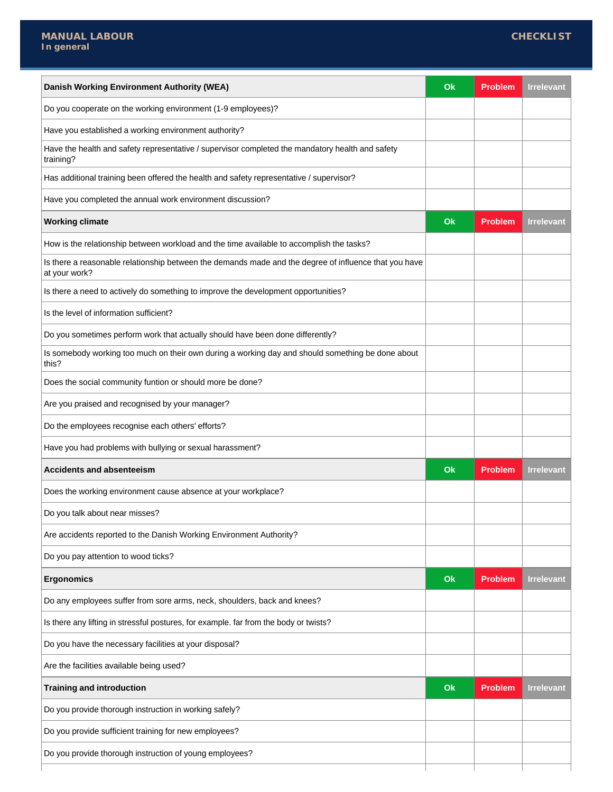| Danish Working Environment Authority (WEA)                                                                             | Ok | <b>Problem</b> | <b>Irrelevant</b> |
|------------------------------------------------------------------------------------------------------------------------|----|----------------|-------------------|
| Do you cooperate on the working environment (1-9 employees)?                                                           |    |                |                   |
| Have you established a working environment authority?                                                                  |    |                |                   |
| Have the health and safety representative / supervisor completed the mandatory health and safety<br>training?          |    |                |                   |
| Has additional training been offered the health and safety representative / supervisor?                                |    |                |                   |
| Have you completed the annual work environment discussion?                                                             |    |                |                   |
| <b>Working climate</b>                                                                                                 | Ok | Problem        | <b>Irrelevant</b> |
| How is the relationship between workload and the time available to accomplish the tasks?                               |    |                |                   |
| Is there a reasonable relationship between the demands made and the degree of influence that you have<br>at your work? |    |                |                   |
| Is there a need to actively do something to improve the development opportunities?                                     |    |                |                   |
| Is the level of information sufficient?                                                                                |    |                |                   |
| Do you sometimes perform work that actually should have been done differently?                                         |    |                |                   |
| Is somebody working too much on their own during a working day and should something be done about<br>this?             |    |                |                   |
| Does the social community funtion or should more be done?                                                              |    |                |                   |
| Are you praised and recognised by your manager?                                                                        |    |                |                   |
| Do the employees recognise each others' efforts?                                                                       |    |                |                   |
| Have you had problems with bullying or sexual harassment?                                                              |    |                |                   |
| <b>Accidents and absenteeism</b>                                                                                       | Ok | <b>Problem</b> | <b>Irrelevant</b> |
| Does the working environment cause absence at your workplace?                                                          |    |                |                   |
| Do you talk about near misses?                                                                                         |    |                |                   |
| Are accidents reported to the Danish Working Environment Authority?                                                    |    |                |                   |
| Do you pay attention to wood ticks?                                                                                    |    |                |                   |
| <b>Ergonomics</b>                                                                                                      | Ok | Problem        | <b>Irrelevant</b> |
| Do any employees suffer from sore arms, neck, shoulders, back and knees?                                               |    |                |                   |
| Is there any lifting in stressful postures, for example. far from the body or twists?                                  |    |                |                   |
| Do you have the necessary facilities at your disposal?                                                                 |    |                |                   |
| Are the facilities available being used?                                                                               |    |                |                   |
| <b>Training and introduction</b>                                                                                       | Ok | <b>Problem</b> | <b>Irrelevant</b> |
| Do you provide thorough instruction in working safely?                                                                 |    |                |                   |
| Do you provide sufficient training for new employees?                                                                  |    |                |                   |
|                                                                                                                        |    |                |                   |